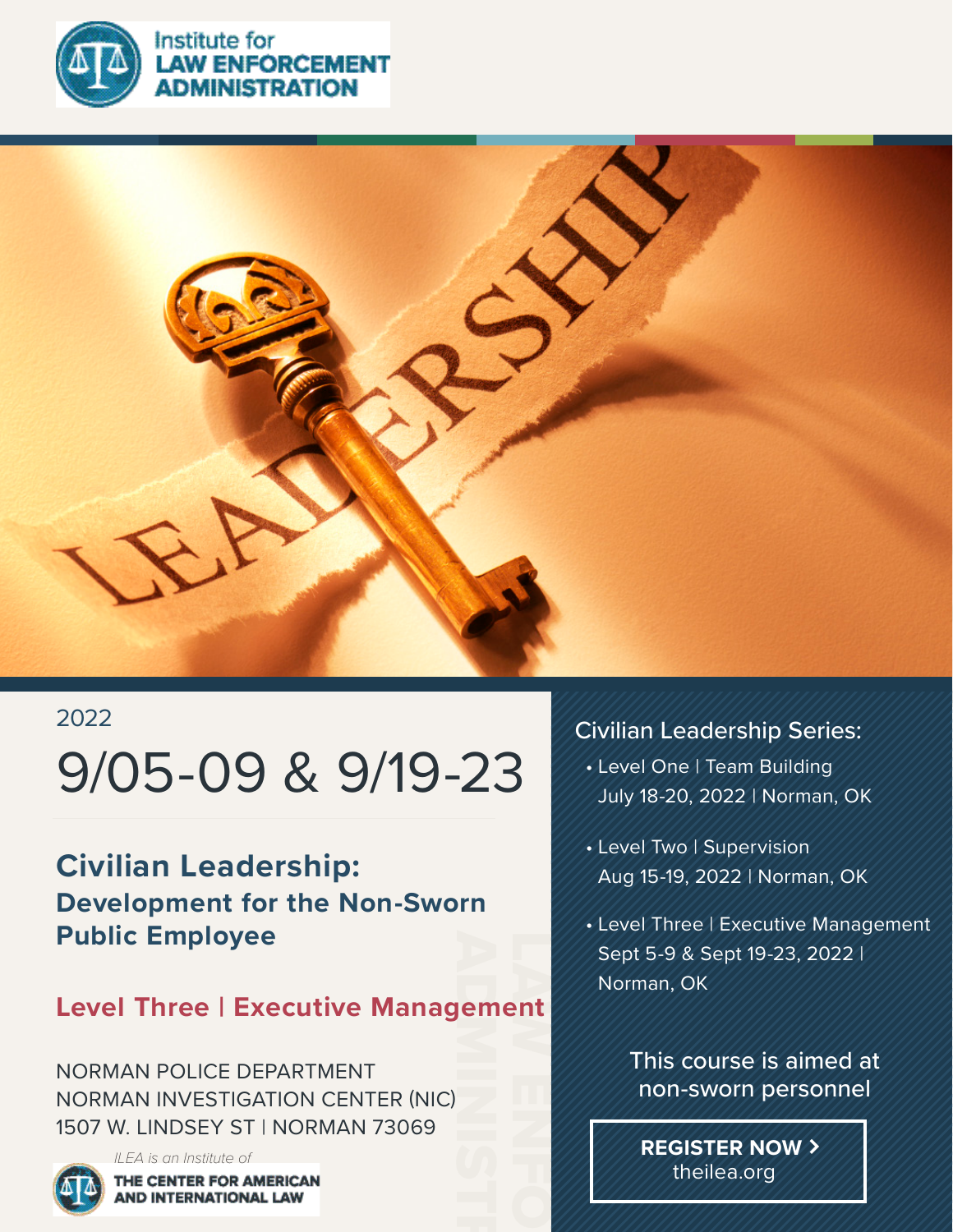



## 2022

# 9/05-09 & 9/19-23

**STRATION** 

## **Civilian Leadership: Development for the Non-Sworn Public Employee**

# Pem<br>ADMINISTRATION  $\frac{1}{2}$ **Level Three | Executive Management**

NORMAN POLICE DEPARTMENT NORMAN INVESTIGATION CENTER (NIC) 1507 W. LINDSEY ST | NORMAN 73069

> *ILEA is an Institute of* **IE CENTER FOR AMERICAN AND INTERNATIONAL LAW**

## Civilian Leadership Series:

- Level One | Team Building July 18-20, 2022 | Norman, OK
- Level Two | Supervision Aug 15-19, 2022 | Norman, OK
- Level Three | Executive Management Sept 5-9 & Sept 19-23, 2022 | Norman, OK

## This course is aimed at non-sworn personnel

**REGISTER NOW** theilea.org